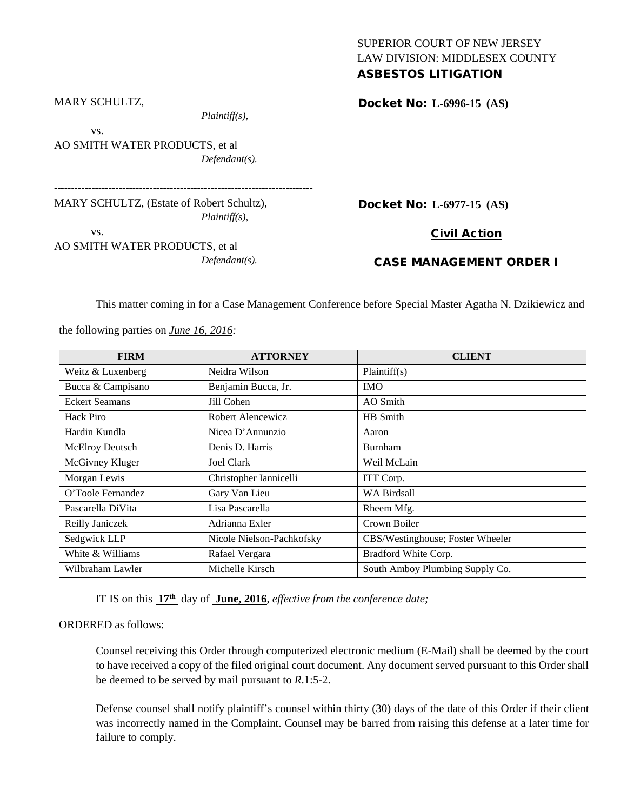### SUPERIOR COURT OF NEW JERSEY LAW DIVISION: MIDDLESEX COUNTY ASBESTOS LITIGATION

|     | $Plaintiff(s)$ ,                                              |
|-----|---------------------------------------------------------------|
| VS. |                                                               |
|     | AO SMITH WATER PRODUCTS, et al                                |
|     | $Defendant(s)$ .                                              |
|     |                                                               |
|     | MARY SCHULTZ, (Estate of Robert Schultz),<br>$Plaintiff(s)$ , |
| VS. |                                                               |
|     | AO SMITH WATER PRODUCTS, et al                                |

Docket No: **L-6996-15 (AS)** 

Docket No: **L-6977-15 (AS)** 

Civil Action

# CASE MANAGEMENT ORDER I

This matter coming in for a Case Management Conference before Special Master Agatha N. Dzikiewicz and

**FIRM ATTORNEY CLIENT** Weitz & Luxenberg Neidra Wilson Plaintiff(s) Bucca & Campisano Benjamin Bucca, Jr. IMO Eckert Seamans Jill Cohen AO Smith Hack Piro Robert Alencewicz HB Smith Hardin Kundla  $\vert$  Nicea D'Annunzio  $\vert$  Aaron McElroy Deutsch Denis D. Harris Burnham McGivney Kluger Joel Clark Weil McLain Morgan Lewis Christopher Iannicelli ITT Corp. O'Toole Fernandez Gary Van Lieu WA Birdsall Pascarella DiVita Lisa Pascarella Rheem Mfg. Reilly Janiczek | Adrianna Exler | Crown Boiler Sedgwick LLP Nicole Nielson-Pachkofsky CBS/Westinghouse; Foster Wheeler White & Williams Rafael Vergara Bradford White Corp. Wilbraham Lawler Michelle Kirsch South Amboy Plumbing Supply Co.

the following parties on *June 16, 2016:*

IT IS on this **17th** day of **June, 2016**, *effective from the conference date;*

#### ORDERED as follows:

Counsel receiving this Order through computerized electronic medium (E-Mail) shall be deemed by the court to have received a copy of the filed original court document. Any document served pursuant to this Order shall be deemed to be served by mail pursuant to *R*.1:5-2.

Defense counsel shall notify plaintiff's counsel within thirty (30) days of the date of this Order if their client was incorrectly named in the Complaint. Counsel may be barred from raising this defense at a later time for failure to comply.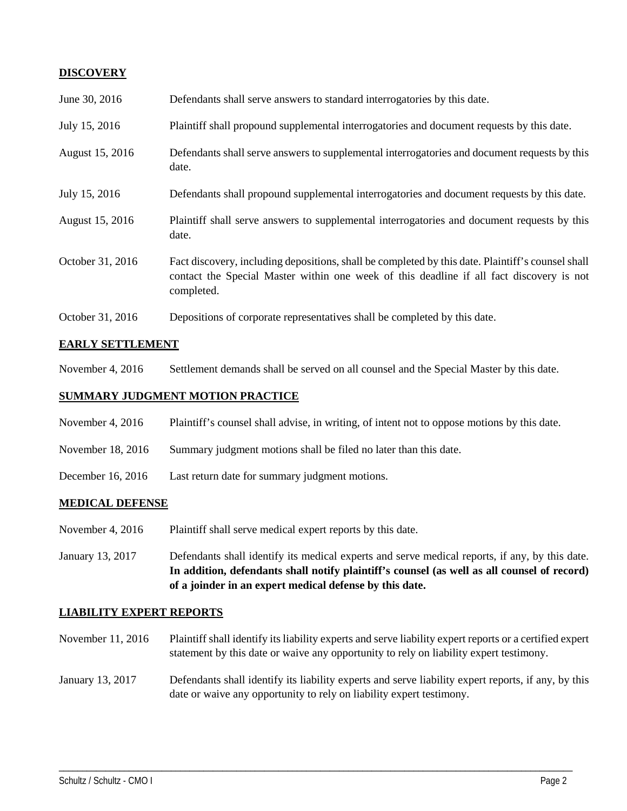## **DISCOVERY**

| June 30, 2016    | Defendants shall serve answers to standard interrogatories by this date.                                                                                                                                    |
|------------------|-------------------------------------------------------------------------------------------------------------------------------------------------------------------------------------------------------------|
| July 15, 2016    | Plaintiff shall propound supplemental interrogatories and document requests by this date.                                                                                                                   |
| August 15, 2016  | Defendants shall serve answers to supplemental interrogatories and document requests by this<br>date.                                                                                                       |
| July 15, 2016    | Defendants shall propound supplemental interrogatories and document requests by this date.                                                                                                                  |
| August 15, 2016  | Plaintiff shall serve answers to supplemental interrogatories and document requests by this<br>date.                                                                                                        |
| October 31, 2016 | Fact discovery, including depositions, shall be completed by this date. Plaintiff's counsel shall<br>contact the Special Master within one week of this deadline if all fact discovery is not<br>completed. |
| October 31, 2016 | Depositions of corporate representatives shall be completed by this date.                                                                                                                                   |

### **EARLY SETTLEMENT**

November 4, 2016 Settlement demands shall be served on all counsel and the Special Master by this date.

# **SUMMARY JUDGMENT MOTION PRACTICE**

- November 4, 2016 Plaintiff's counsel shall advise, in writing, of intent not to oppose motions by this date.
- November 18, 2016 Summary judgment motions shall be filed no later than this date.
- December 16, 2016 Last return date for summary judgment motions.

#### **MEDICAL DEFENSE**

- November 4, 2016 Plaintiff shall serve medical expert reports by this date.
- January 13, 2017 Defendants shall identify its medical experts and serve medical reports, if any, by this date. **In addition, defendants shall notify plaintiff's counsel (as well as all counsel of record) of a joinder in an expert medical defense by this date.**

#### **LIABILITY EXPERT REPORTS**

- November 11, 2016 Plaintiff shall identify its liability experts and serve liability expert reports or a certified expert statement by this date or waive any opportunity to rely on liability expert testimony.
- January 13, 2017 Defendants shall identify its liability experts and serve liability expert reports, if any, by this date or waive any opportunity to rely on liability expert testimony.

\_\_\_\_\_\_\_\_\_\_\_\_\_\_\_\_\_\_\_\_\_\_\_\_\_\_\_\_\_\_\_\_\_\_\_\_\_\_\_\_\_\_\_\_\_\_\_\_\_\_\_\_\_\_\_\_\_\_\_\_\_\_\_\_\_\_\_\_\_\_\_\_\_\_\_\_\_\_\_\_\_\_\_\_\_\_\_\_\_\_\_\_\_\_\_\_\_\_\_\_\_\_\_\_\_\_\_\_\_\_